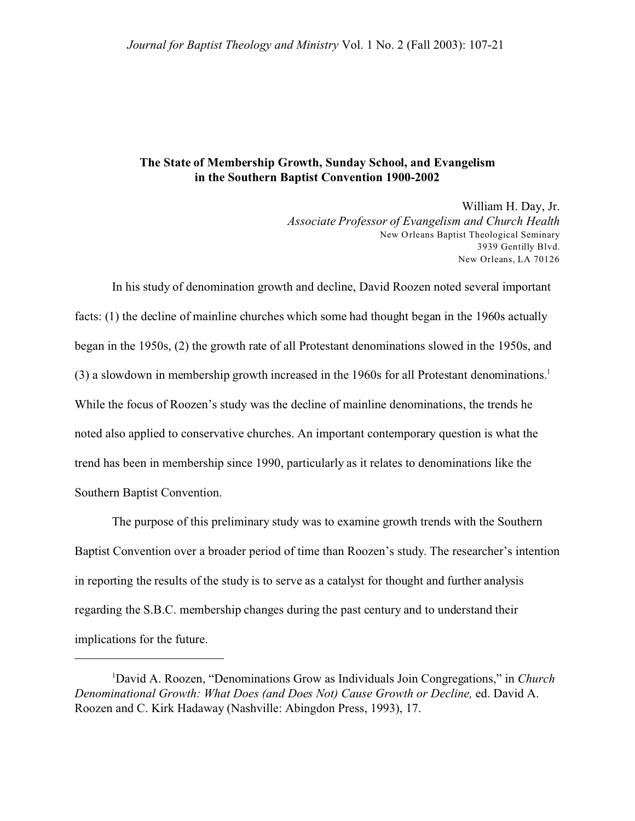## **The State of Membership Growth, Sunday School, and Evangelism in the Southern Baptist Convention 1900-2002**

William H. Day, Jr. *Associate Professor of Evangelism and Church Health* New Orleans Baptist Theological Seminary 3939 Gentilly Blvd. New Orleans, LA 70126

In his study of denomination growth and decline, David Roozen noted several important facts: (1) the decline of mainline churches which some had thought began in the 1960s actually began in the 1950s, (2) the growth rate of all Protestant denominations slowed in the 1950s, and (3) a slowdown in membership growth increased in the 1960s for all Protestant denominations.<sup>1</sup> While the focus of Roozen's study was the decline of mainline denominations, the trends he noted also applied to conservative churches. An important contemporary question is what the trend has been in membership since 1990, particularly as it relates to denominations like the Southern Baptist Convention.

The purpose of this preliminary study was to examine growth trends with the Southern Baptist Convention over a broader period of time than Roozen's study. The researcher's intention in reporting the results of the study is to serve as a catalyst for thought and further analysis regarding the S.B.C. membership changes during the past century and to understand their implications for the future.

<sup>1</sup>David A. Roozen, "Denominations Grow as Individuals Join Congregations," in *Church Denominational Growth: What Does (and Does Not) Cause Growth or Decline,* ed. David A. Roozen and C. Kirk Hadaway (Nashville: Abingdon Press, 1993), 17.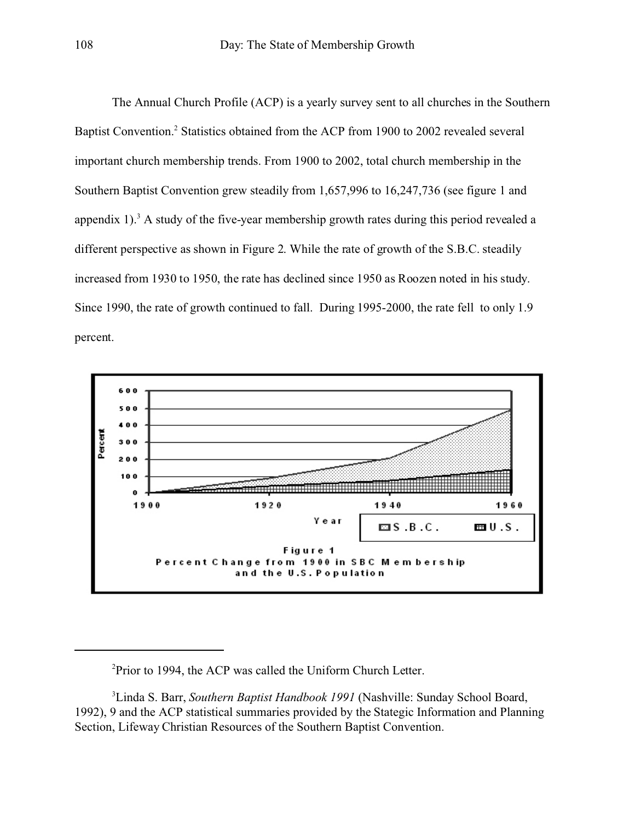The Annual Church Profile (ACP) is a yearly survey sent to all churches in the Southern Baptist Convention.<sup>2</sup> Statistics obtained from the ACP from 1900 to 2002 revealed several important church membership trends. From 1900 to 2002, total church membership in the Southern Baptist Convention grew steadily from 1,657,996 to 16,247,736 (see figure 1 and appendix 1).<sup>3</sup> A study of the five-year membership growth rates during this period revealed a different perspective as shown in Figure 2. While the rate of growth of the S.B.C. steadily increased from 1930 to 1950, the rate has declined since 1950 as Roozen noted in his study. Since 1990, the rate of growth continued to fall. During 1995-2000, the rate fell to only 1.9 percent.



<sup>&</sup>lt;sup>2</sup>Prior to 1994, the ACP was called the Uniform Church Letter.

<sup>3</sup>Linda S. Barr, *Southern Baptist Handbook 1991* (Nashville: Sunday School Board, 1992), 9 and the ACP statistical summaries provided by the Stategic Information and Planning Section, Lifeway Christian Resources of the Southern Baptist Convention.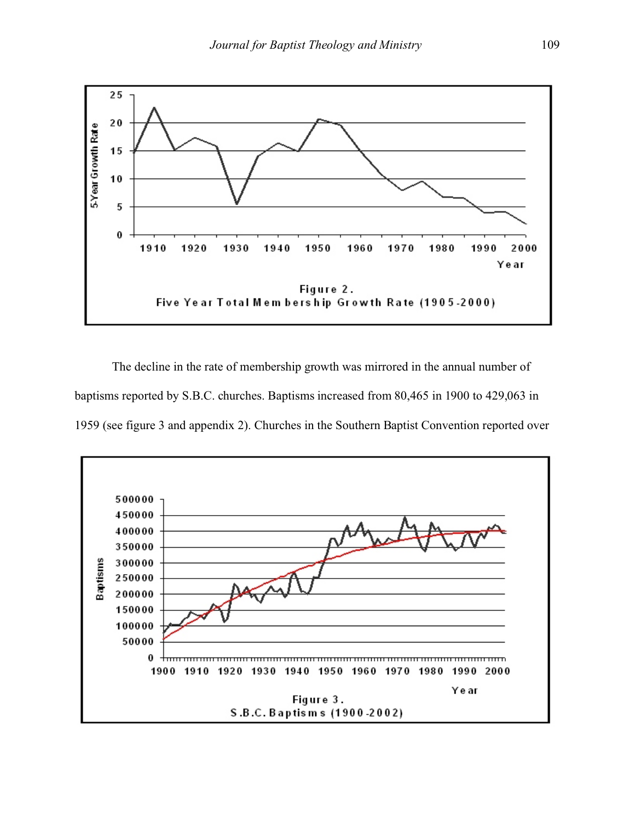

The decline in the rate of membership growth was mirrored in the annual number of baptisms reported by S.B.C. churches. Baptisms increased from 80,465 in 1900 to 429,063 in 1959 (see figure 3 and appendix 2). Churches in the Southern Baptist Convention reported over

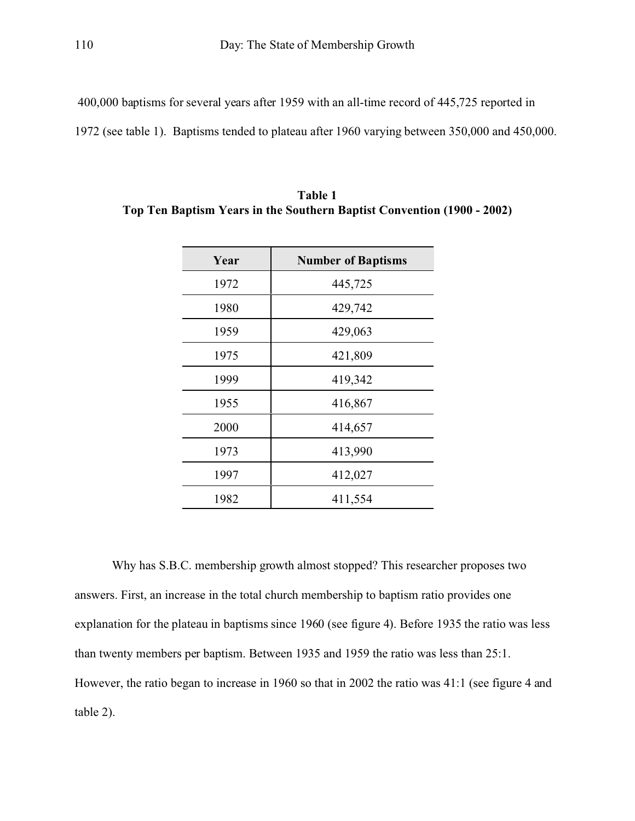400,000 baptisms for several years after 1959 with an all-time record of 445,725 reported in

1972 (see table 1). Baptisms tended to plateau after 1960 varying between 350,000 and 450,000.

| Year | <b>Number of Baptisms</b> |  |  |  |
|------|---------------------------|--|--|--|
| 1972 | 445,725                   |  |  |  |
| 1980 | 429,742                   |  |  |  |
| 1959 | 429,063                   |  |  |  |
| 1975 | 421,809                   |  |  |  |
| 1999 | 419,342                   |  |  |  |
| 1955 | 416,867                   |  |  |  |
| 2000 | 414,657                   |  |  |  |
| 1973 | 413,990                   |  |  |  |
| 1997 | 412,027                   |  |  |  |
| 1982 | 411,554                   |  |  |  |

**Table 1 Top Ten Baptism Years in the Southern Baptist Convention (1900 - 2002)**

Why has S.B.C. membership growth almost stopped? This researcher proposes two answers. First, an increase in the total church membership to baptism ratio provides one explanation for the plateau in baptisms since 1960 (see figure 4). Before 1935 the ratio was less than twenty members per baptism. Between 1935 and 1959 the ratio was less than 25:1. However, the ratio began to increase in 1960 so that in 2002 the ratio was 41:1 (see figure 4 and table 2).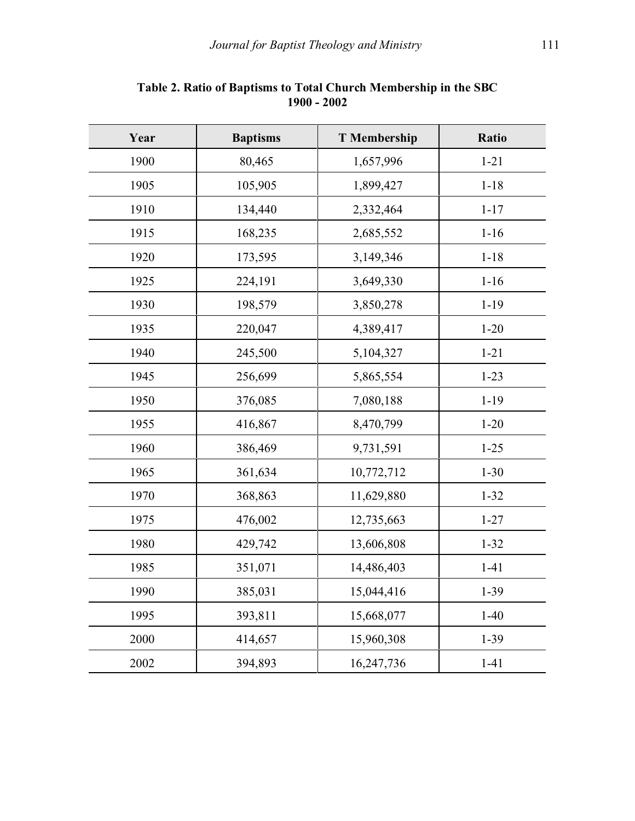| Year | <b>Baptisms</b>       | <b>T</b> Membership | Ratio    |
|------|-----------------------|---------------------|----------|
| 1900 | 80,465                | 1,657,996           | $1 - 21$ |
| 1905 | 105,905               | 1,899,427           | $1 - 18$ |
| 1910 | 134,440               | 2,332,464           | $1 - 17$ |
| 1915 | 168,235               | 2,685,552           | $1 - 16$ |
| 1920 | 173,595               | 3,149,346           | $1 - 18$ |
| 1925 | 224,191               | 3,649,330           | $1 - 16$ |
| 1930 | 198,579               | 3,850,278           | $1 - 19$ |
| 1935 | 220,047               | 4,389,417           | $1 - 20$ |
| 1940 | 245,500               | 5,104,327           | $1 - 21$ |
| 1945 | 256,699<br>5,865,554  |                     | $1 - 23$ |
| 1950 | 376,085               | 7,080,188           | $1 - 19$ |
| 1955 | 416,867               | 8,470,799           |          |
| 1960 | 386,469<br>9,731,591  |                     | $1 - 25$ |
| 1965 | 361,634<br>10,772,712 |                     | $1 - 30$ |
| 1970 | 368,863<br>11,629,880 |                     | $1 - 32$ |
| 1975 | 476,002<br>12,735,663 |                     | $1 - 27$ |
| 1980 | 429,742               | 13,606,808          | $1 - 32$ |
| 1985 | 351,071<br>14,486,403 |                     | $1 - 41$ |
| 1990 | 385,031<br>15,044,416 |                     | $1 - 39$ |
| 1995 | 393,811               | 15,668,077          | $1-40$   |
| 2000 | 414,657               | 15,960,308          | $1-39$   |
| 2002 | 394,893               | 16,247,736          | $1 - 41$ |

## **Table 2. Ratio of Baptisms to Total Church Membership in the SBC 1900 - 2002**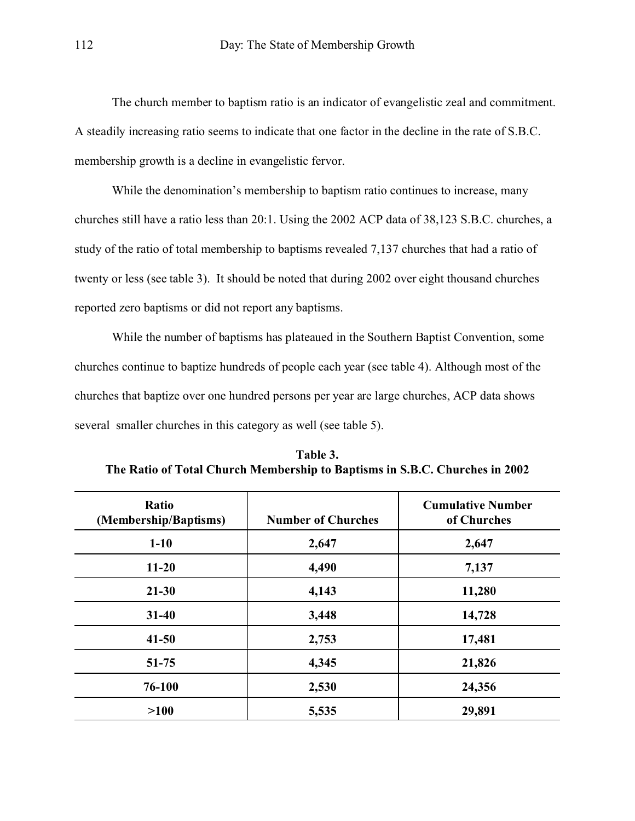The church member to baptism ratio is an indicator of evangelistic zeal and commitment. A steadily increasing ratio seems to indicate that one factor in the decline in the rate of S.B.C. membership growth is a decline in evangelistic fervor.

While the denomination's membership to baptism ratio continues to increase, many churches still have a ratio less than 20:1. Using the 2002 ACP data of 38,123 S.B.C. churches, a study of the ratio of total membership to baptisms revealed 7,137 churches that had a ratio of twenty or less (see table 3). It should be noted that during 2002 over eight thousand churches reported zero baptisms or did not report any baptisms.

While the number of baptisms has plateaued in the Southern Baptist Convention, some churches continue to baptize hundreds of people each year (see table 4). Although most of the churches that baptize over one hundred persons per year are large churches, ACP data shows several smaller churches in this category as well (see table 5).

| Ratio<br>(Membership/Baptisms) | <b>Number of Churches</b> | <b>Cumulative Number</b><br>of Churches |  |  |
|--------------------------------|---------------------------|-----------------------------------------|--|--|
| $1 - 10$                       | 2,647                     | 2,647                                   |  |  |
| $11 - 20$                      | 4,490                     | 7,137                                   |  |  |
| $21 - 30$                      | 4,143                     | 11,280                                  |  |  |
| $31 - 40$                      | 3,448                     | 14,728                                  |  |  |
| $41 - 50$                      | 2,753                     | 17,481                                  |  |  |
| $51 - 75$                      | 4,345                     | 21,826                                  |  |  |
| 76-100                         | 2,530                     | 24,356                                  |  |  |
| >100                           | 5,535                     | 29,891                                  |  |  |

**Table 3. The Ratio of Total Church Membership to Baptisms in S.B.C. Churches in 2002**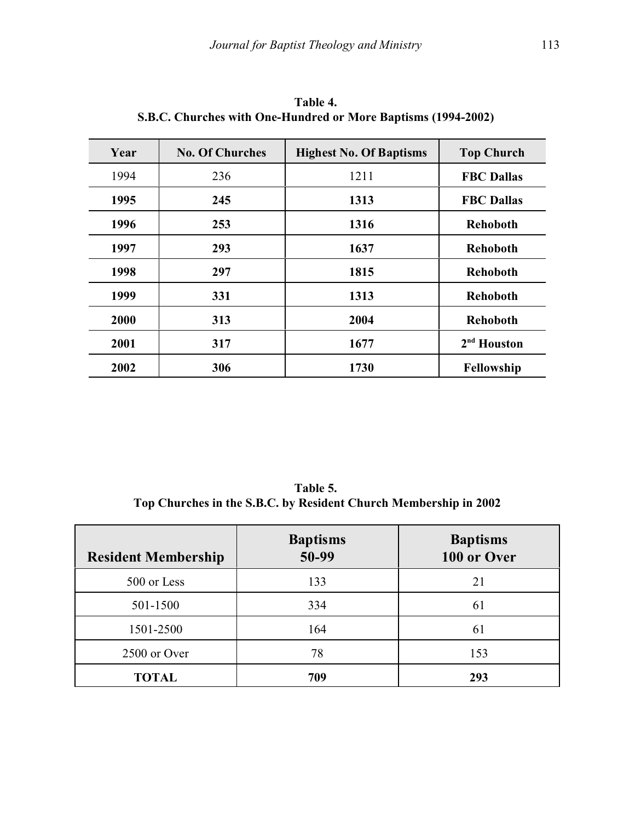| Year | <b>No. Of Churches</b> | <b>Highest No. Of Baptisms</b> | <b>Top Church</b> |
|------|------------------------|--------------------------------|-------------------|
| 1994 | 236                    | 1211                           | <b>FBC Dallas</b> |
| 1995 | 245                    | 1313                           | <b>FBC Dallas</b> |
| 1996 | 253                    | 1316                           | <b>Rehoboth</b>   |
| 1997 | 293                    | 1637                           | <b>Rehoboth</b>   |
| 1998 | 297                    | 1815                           | <b>Rehoboth</b>   |
| 1999 | 331                    | 1313                           | <b>Rehoboth</b>   |
| 2000 | 313                    | 2004                           | <b>Rehoboth</b>   |
| 2001 | 317                    | 1677                           | $2nd$ Houston     |
| 2002 | 306                    | 1730                           | Fellowship        |

**Table 4. S.B.C. Churches with One-Hundred or More Baptisms (1994-2002)** 

**Table 5. Top Churches in the S.B.C. by Resident Church Membership in 2002**

| <b>Resident Membership</b> | <b>Baptisms</b><br>50-99 | <b>Baptisms</b><br>100 or Over |
|----------------------------|--------------------------|--------------------------------|
| 500 or Less                | 133                      | 21                             |
| 501-1500                   | 334                      | 61                             |
| 1501-2500                  | 164                      | 61                             |
| 2500 or Over               | 78                       | 153                            |
| <b>TOTAL</b>               | 709                      | 293                            |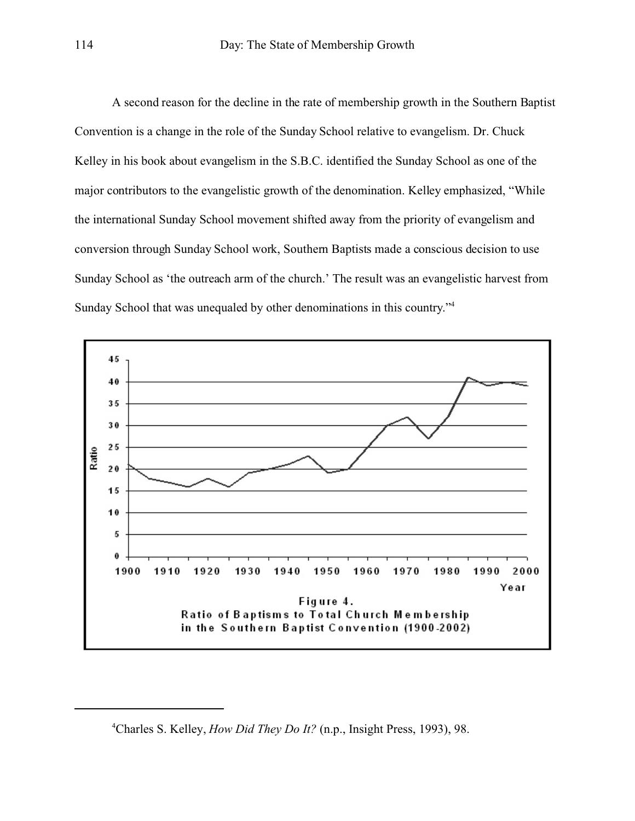A second reason for the decline in the rate of membership growth in the Southern Baptist Convention is a change in the role of the Sunday School relative to evangelism. Dr. Chuck Kelley in his book about evangelism in the S.B.C. identified the Sunday School as one of the major contributors to the evangelistic growth of the denomination. Kelley emphasized, "While the international Sunday School movement shifted away from the priority of evangelism and conversion through Sunday School work, Southern Baptists made a conscious decision to use Sunday School as 'the outreach arm of the church.' The result was an evangelistic harvest from Sunday School that was unequaled by other denominations in this country."4



<sup>4</sup>Charles S. Kelley, *How Did They Do It?* (n.p., Insight Press, 1993), 98.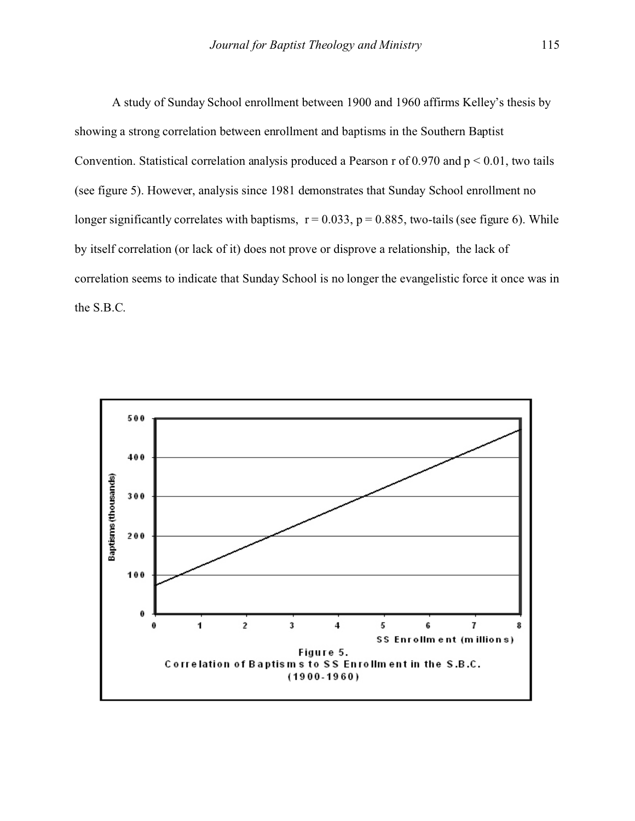A study of Sunday School enrollment between 1900 and 1960 affirms Kelley's thesis by showing a strong correlation between enrollment and baptisms in the Southern Baptist Convention. Statistical correlation analysis produced a Pearson r of  $0.970$  and  $p \le 0.01$ , two tails (see figure 5). However, analysis since 1981 demonstrates that Sunday School enrollment no longer significantly correlates with baptisms,  $r = 0.033$ ,  $p = 0.885$ , two-tails (see figure 6). While by itself correlation (or lack of it) does not prove or disprove a relationship, the lack of correlation seems to indicate that Sunday School is no longer the evangelistic force it once was in the S.B.C.

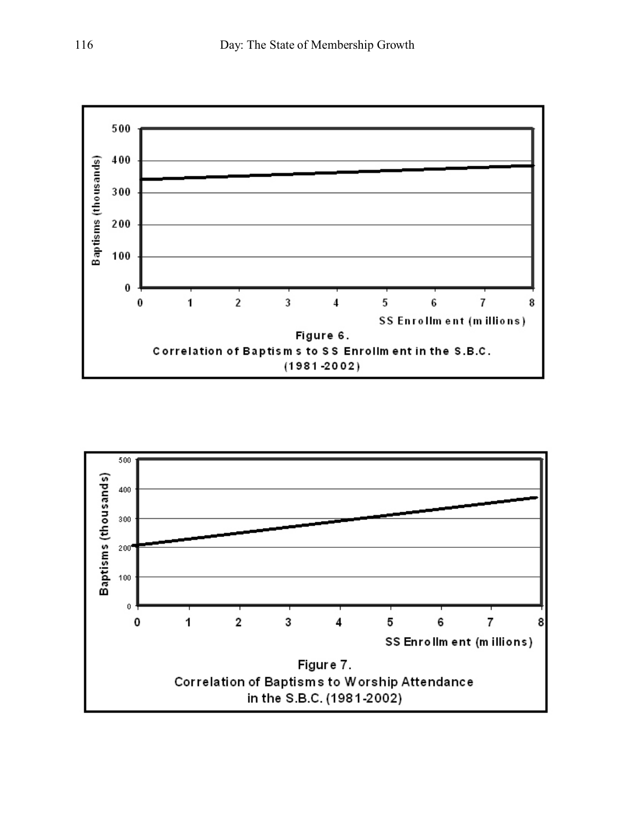

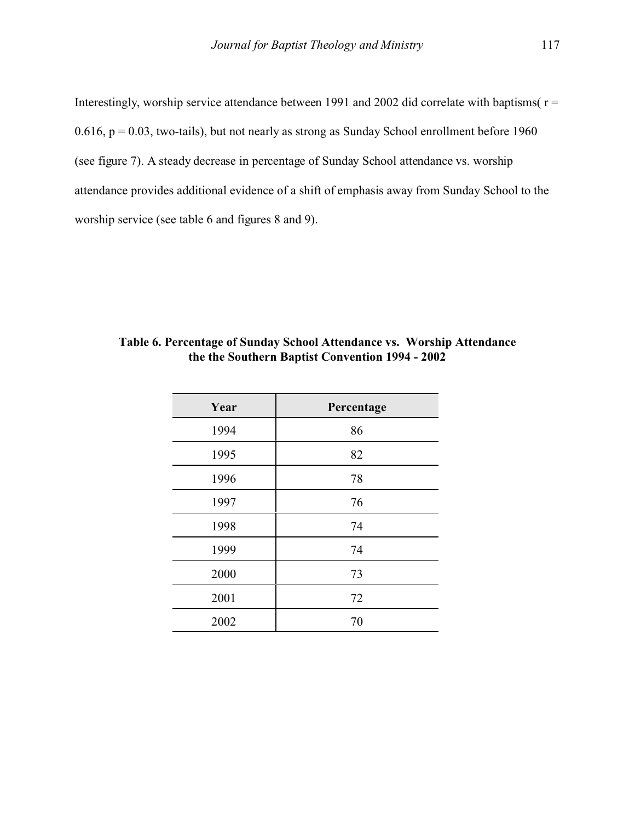Interestingly, worship service attendance between 1991 and 2002 did correlate with baptisms( $r =$ 0.616,  $p = 0.03$ , two-tails), but not nearly as strong as Sunday School enrollment before 1960 (see figure 7). A steady decrease in percentage of Sunday School attendance vs. worship attendance provides additional evidence of a shift of emphasis away from Sunday School to the worship service (see table 6 and figures 8 and 9).

| Year | Percentage |
|------|------------|
| 1994 | 86         |
| 1995 | 82         |
| 1996 | 78         |
| 1997 | 76         |
| 1998 | 74         |
| 1999 | 74         |
| 2000 | 73         |
| 2001 | 72         |
| 2002 | 70         |

**Table 6. Percentage of Sunday School Attendance vs. Worship Attendance the the Southern Baptist Convention 1994 - 2002**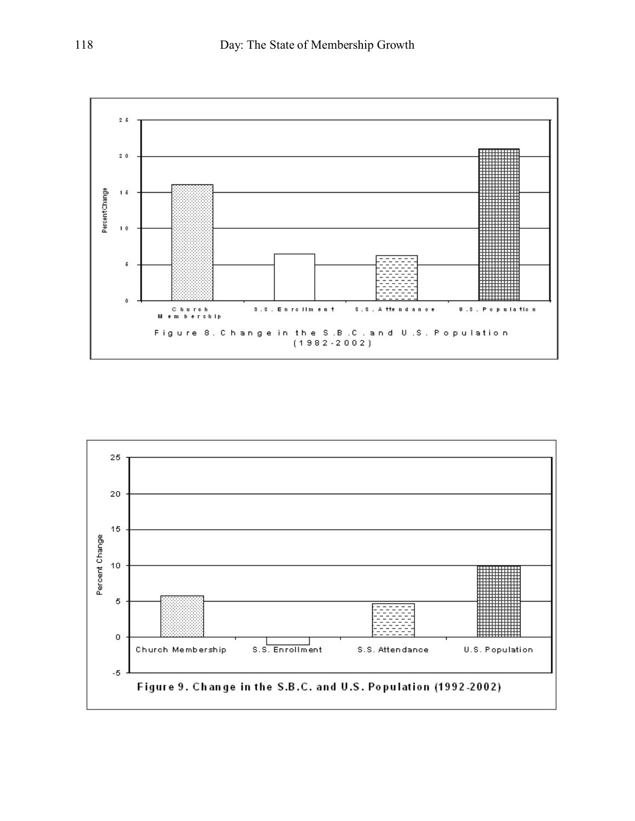

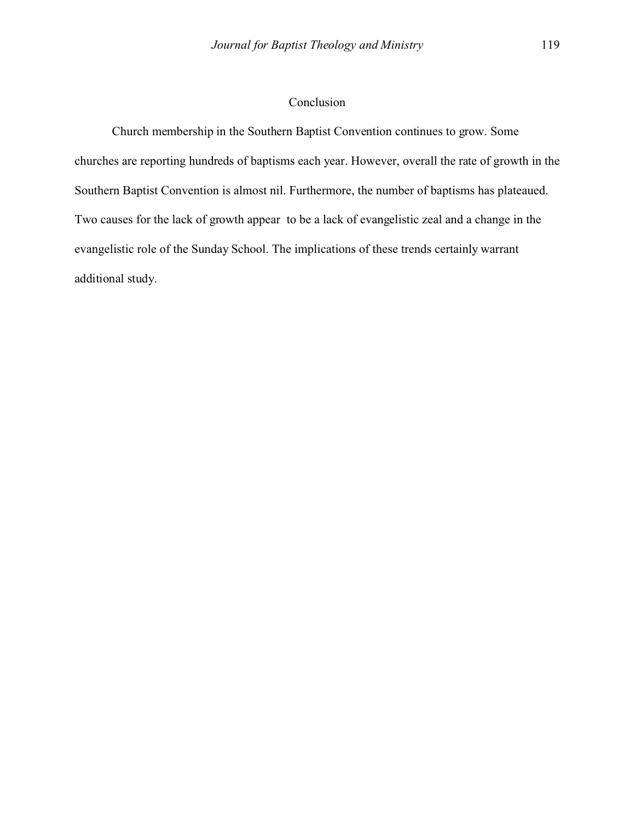## Conclusion

Church membership in the Southern Baptist Convention continues to grow. Some churches are reporting hundreds of baptisms each year. However, overall the rate of growth in the Southern Baptist Convention is almost nil. Furthermore, the number of baptisms has plateaued. Two causes for the lack of growth appear to be a lack of evangelistic zeal and a change in the evangelistic role of the Sunday School. The implications of these trends certainly warrant additional study.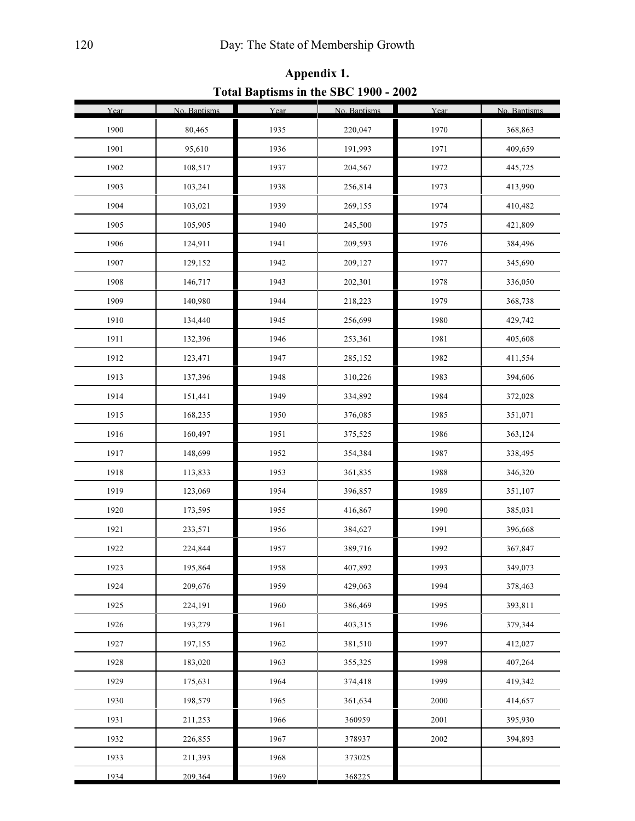| Year | No. Baptisms | Year | No. Baptisms | Year | No. Baptisms |
|------|--------------|------|--------------|------|--------------|
| 1900 | 80,465       | 1935 | 220,047      | 1970 | 368,863      |
| 1901 | 95,610       | 1936 | 191,993      | 1971 | 409,659      |
| 1902 | 108,517      | 1937 | 204,567      | 1972 | 445,725      |
| 1903 | 103,241      | 1938 | 256,814      | 1973 | 413,990      |
| 1904 | 103,021      | 1939 | 269,155      | 1974 | 410,482      |
| 1905 | 105,905      | 1940 | 245,500      | 1975 | 421,809      |
| 1906 | 124,911      | 1941 | 209,593      | 1976 | 384,496      |
| 1907 | 129,152      | 1942 | 209,127      | 1977 | 345,690      |
| 1908 | 146,717      | 1943 | 202,301      | 1978 | 336,050      |
| 1909 | 140,980      | 1944 | 218,223      | 1979 | 368,738      |
| 1910 | 134,440      | 1945 | 256,699      | 1980 | 429,742      |
| 1911 | 132,396      | 1946 | 253,361      | 1981 | 405,608      |
| 1912 | 123,471      | 1947 | 285,152      | 1982 | 411,554      |
| 1913 | 137,396      | 1948 | 310,226      | 1983 | 394,606      |
| 1914 | 151,441      | 1949 | 334,892      | 1984 | 372,028      |
| 1915 | 168,235      | 1950 | 376,085      | 1985 | 351,071      |
| 1916 | 160,497      | 1951 | 375,525      | 1986 | 363,124      |
| 1917 | 148,699      | 1952 | 354,384      | 1987 | 338,495      |
| 1918 | 113,833      | 1953 | 361,835      | 1988 | 346,320      |
| 1919 | 123,069      | 1954 | 396,857      | 1989 | 351,107      |
| 1920 | 173,595      | 1955 | 416,867      | 1990 | 385,031      |
| 1921 | 233,571      | 1956 | 384,627      | 1991 | 396,668      |
| 1922 | 224,844      | 1957 | 389,716      | 1992 | 367,847      |
| 1923 | 195,864      | 1958 | 407,892      | 1993 | 349,073      |
| 1924 | 209,676      | 1959 | 429,063      | 1994 | 378,463      |
| 1925 | 224,191      | 1960 | 386,469      | 1995 | 393,811      |
| 1926 | 193,279      | 1961 | 403,315      | 1996 | 379,344      |
| 1927 | 197,155      | 1962 | 381,510      | 1997 | 412,027      |
| 1928 | 183,020      | 1963 | 355,325      | 1998 | 407,264      |
| 1929 | 175,631      | 1964 | 374,418      | 1999 | 419,342      |
| 1930 | 198,579      | 1965 | 361,634      | 2000 | 414,657      |
| 1931 | 211,253      | 1966 | 360959       | 2001 | 395,930      |
| 1932 | 226,855      | 1967 | 378937       | 2002 | 394,893      |
| 1933 | 211,393      | 1968 | 373025       |      |              |
| 1934 | 209.364      | 1969 | 368225       |      |              |

**Appendix 1. Total Baptisms in the SBC 1900 - 2002**